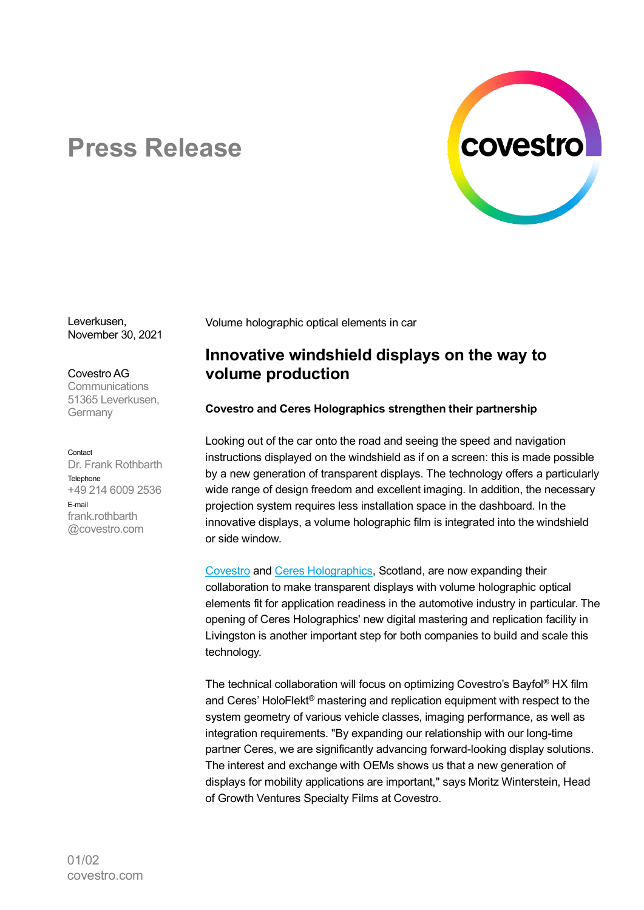

# **Press Release**

Leverkusen, November 30, 2021

Covestro AG **Communications** 51365 Leverkusen, **Germany** 

Contact Dr. Frank Rothbarth Telephone +49 214 6009 2536 E-mail frank rothbarth @covestro.com

Volume holographic optical elements in car

## **Innovative windshield displays on the way to volume production**

### **Covestro and Ceres Holographics strengthen their partnership**

Looking out of the car onto the road and seeing the speed and navigation instructions displayed on the windshield as if on a screen: this is made possible by a new generation of transparent displays. The technology offers a particularly wide range of design freedom and excellent imaging. In addition, the necessary projection system requires less installation space in the dashboard. In the innovative displays, a volume holographic film is integrated into the windshield or side window.

[Covestro](https://www.covestro.com/) and [Ceres Holographics,](https://www.ceresholographics.com/) Scotland, are now expanding their collaboration to make transparent displays with volume holographic optical elements fit for application readiness in the automotive industry in particular. The opening of Ceres Holographics' new digital mastering and replication facility in Livingston is another important step for both companies to build and scale this technology.

The technical collaboration will focus on optimizing Covestro's Bayfol® HX film and Ceres' HoloFlekt® mastering and replication equipment with respect to the system geometry of various vehicle classes, imaging performance, as well as integration requirements. "By expanding our relationship with our long-time partner Ceres, we are significantly advancing forward-looking display solutions. The interest and exchange with OEMs shows us that a new generation of displays for mobility applications are important," says Moritz Winterstein, Head of Growth Ventures Specialty Films at Covestro.